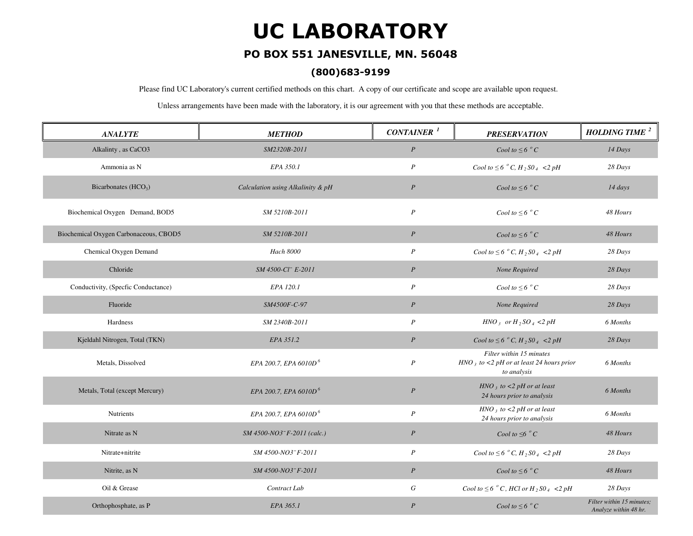## **UC LABORATORY**

## **PO BOX 551 JANESVILLE, MN. 56048**

## **(800)683-9199**

Please find UC Laboratory's current certified methods on this chart. A copy of our certificate and scope are available upon request.

Unless arrangements have been made with the laboratory, it is our agreement with you that these methods are acceptable.

| <b>ANALYTE</b>                         | <b>METHOD</b>                             | <b>CONTAINER</b> <sup>1</sup> | <b>PRESERVATION</b>                                                                   | <b>HOLDING TIME<sup>2</sup></b>                    |
|----------------------------------------|-------------------------------------------|-------------------------------|---------------------------------------------------------------------------------------|----------------------------------------------------|
| Alkalinty, as CaCO3                    | SM2320B-2011                              | $\boldsymbol{P}$              | Cool to $\leq 6$ °C                                                                   | 14 Days                                            |
| Ammonia as N                           | EPA 350.1                                 | $\boldsymbol{P}$              | Cool to $\leq 6$ ° C, H <sub>2</sub> SO <sub>4</sub> <2 pH                            | 28 Days                                            |
| Bicarbonates $(HCO3)$                  | Calculation using Alkalinity & pH         | $\boldsymbol{P}$              | Cool to $\leq 6$ °C                                                                   | $14 \, days$                                       |
| Biochemical Oxygen Demand, BOD5        | SM 5210B-2011                             | $\boldsymbol{P}$              | Cool to $\leq 6$ °C                                                                   | 48 Hours                                           |
| Biochemical Oxygen Carbonaceous, CBOD5 | SM 5210B-2011                             | $\boldsymbol{P}$              | Cool to $\leq 6$ ° C                                                                  | 48 Hours                                           |
| Chemical Oxygen Demand                 | <b>Hach 8000</b>                          | $\boldsymbol{P}$              | Cool to $\leq 6$ ° C, H <sub>2</sub> SO <sub>4</sub> <2 pH                            | 28 Days                                            |
| Chloride                               | SM 4500-Cl <sup>-</sup> E-2011            | $\boldsymbol{P}$              | None Required                                                                         | 28 Days                                            |
| Conductivity, (Specfic Conductance)    | EPA 120.1                                 | $\boldsymbol{P}$              | Cool to $\leq 6~^oC$                                                                  | 28 Days                                            |
| Fluoride                               | SM4500F-C-97                              | $\boldsymbol{P}$              | None Required                                                                         | 28 Days                                            |
| Hardness                               | SM 2340B-2011                             | $\boldsymbol{P}$              | $HNO_3$ or $H_2SO_4$ <2 pH                                                            | 6 Months                                           |
| Kjeldahl Nitrogen, Total (TKN)         | EPA 351.2                                 | $\boldsymbol{P}$              | Cool to $\leq$ 6 $\degree$ C, H <sub>2</sub> SO <sub>4</sub> <2 pH                    | 28 Days                                            |
| Metals, Dissolved                      | EPA 200.7, EPA 6010D <sup>6</sup>         | $\boldsymbol{P}$              | Filter within 15 minutes<br>$HNO3$ to <2 pH or at least 24 hours prior<br>to analysis | 6 Months                                           |
| Metals, Total (except Mercury)         | EPA 200.7, EPA 6010D <sup>6</sup>         | $\boldsymbol{P}$              | HNO $_3$ to <2 pH or at least<br>24 hours prior to analysis                           | 6 Months                                           |
| <b>Nutrients</b>                       | EPA 200.7, EPA 6010D <sup>6</sup>         | $\boldsymbol{P}$              | $HNO3$ to <2 pH or at least<br>24 hours prior to analysis                             | 6 Months                                           |
| Nitrate as N                           | $SM 4500-NO3$ <sup>-</sup> F-2011 (calc.) | $\boldsymbol{P}$              | Cool to $\leq 6$ °C                                                                   | 48 Hours                                           |
| Nitrate+nitrite                        | SM 4500-NO3 <sup>-</sup> F-2011           | $\boldsymbol{P}$              | Cool to $\leq$ 6 $\degree$ C, H <sub>2</sub> SO <sub>4</sub> <2 pH                    | 28 Days                                            |
| Nitrite, as N                          | SM 4500-NO3 <sup>-</sup> F-2011           | $\boldsymbol{P}$              | Cool to $\leq 6$ $^{\circ}$ C                                                         | 48 Hours                                           |
| Oil & Grease                           | Contract Lab                              | G                             | Cool to $\leq$ 6 $\degree$ C, HCl or H <sub>2</sub> SO <sub>4</sub> <2 pH             | 28 Days                                            |
| Orthophosphate, as P                   | EPA 365.1                                 | $\boldsymbol{P}$              | Cool to $\leq 6$ °C                                                                   | Filter within 15 minutes;<br>Analyze within 48 hr. |